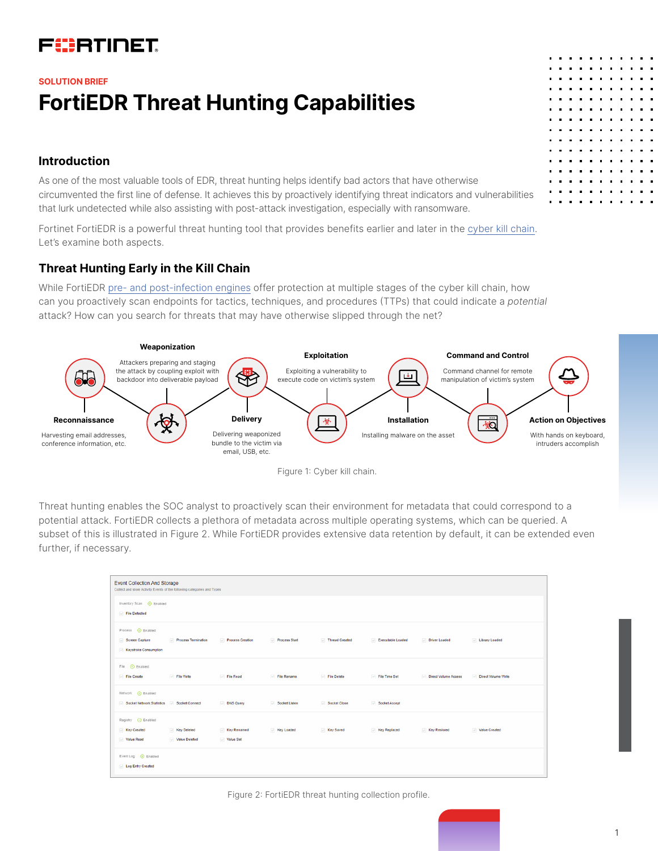# FURTINET

# **FortiEDR Threat Hunting Capabilities SOLUTION BRIEF**

## **Introduction**

As one of the most valuable tools of EDR, threat hunting helps identify bad actors that have otherwise circumvented the first line of defense. It achieves this by proactively identifying threat indicators and vulnerabilities that lurk undetected while also assisting with post-attack investigation, especially with ransomware.

Fortinet FortiEDR is a powerful threat hunting tool that provides benefits earlier and later in the [cyber kill chain.](https://fndn.fortinet.net/accelerate/attack_kill_chain/page-1-1.html) Let's examine both aspects.

# **Threat Hunting Early in the Kill Chain**

While FortiEDR [pre- and post-infection engines](https://docs.fortinet.com/document/fortiedr/5.1.0/administration-guide/236616/out-of-the-box-policies) offer protection at multiple stages of the cyber kill chain, how can you proactively scan endpoints for tactics, techniques, and procedures (TTPs) that could indicate a *potential*  attack? How can you search for threats that may have otherwise slipped through the net?





Threat hunting enables the SOC analyst to proactively scan their environment for metadata that could correspond to a potential attack. FortiEDR collects a plethora of metadata across multiple operating systems, which can be queried. A subset of this is illustrated in Figure 2. While FortiEDR provides extensive data retention by default, it can be extended even further, if necessary.

| <b>Event Collection And Storage</b><br>Collect and store Activity Events of the following categories and Types |                              |                          |               |                |                   |                      |                     |
|----------------------------------------------------------------------------------------------------------------|------------------------------|--------------------------|---------------|----------------|-------------------|----------------------|---------------------|
| Inventory Scan @ Enabled<br>File Detected                                                                      |                              |                          |               |                |                   |                      |                     |
| Process © Enabled<br>Screen Capture<br>Keystroke Consumption                                                   | Process Termination          | Process Creation         | Process Start | Thread Created | Executable Loaded | Driver Loaded        | Ulbrary Loaded      |
| File © Enabled<br>File Create                                                                                  | File Write                   | File Read                | File Rename   | File Delete    | File Time Set     | Direct Volume Access | Direct Volume Write |
| Network @ Enabled<br>Socket Network Statistics Socket Connect                                                  |                              | DNS Query                | Socket Listen | Socket Close   | Socket Accept     |                      |                     |
| Registry <b>O</b> Enabled<br>Key Created<br>Value Read                                                         | Key Deleted<br>Value Deleted | Key Renamed<br>Value Set | Key Loaded    | Key Saved      | Key Replaced      | Key Restored         | Value Created       |
| Event Log © Enabled<br>Log Entry Created                                                                       |                              |                          |               |                |                   |                      |                     |

#### Figure 2: FortiEDR threat hunting collection profile.

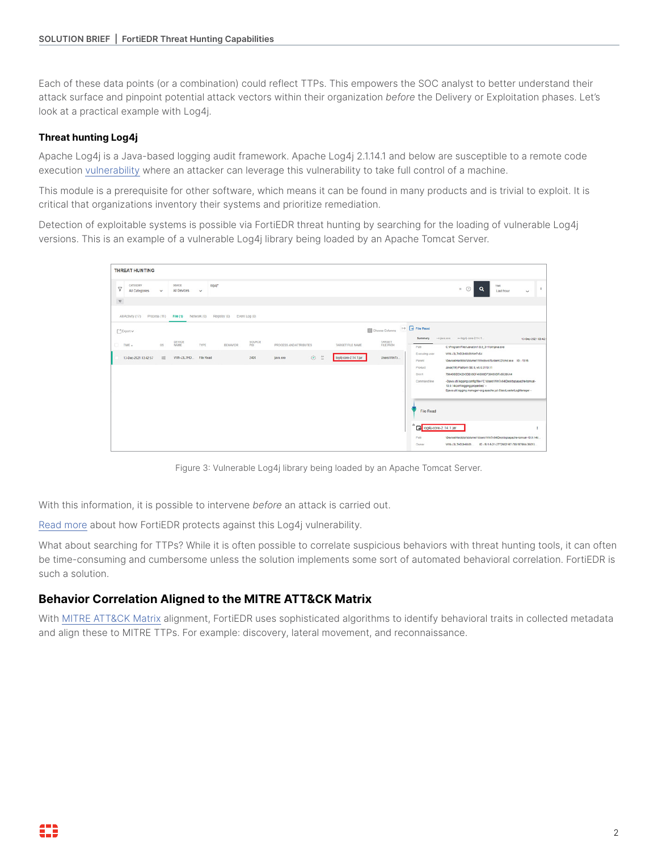Each of these data points (or a combination) could reflect TTPs. This empowers the SOC analyst to better understand their attack surface and pinpoint potential attack vectors within their organization *before* the Delivery or Exploitation phases. Let's look at a practical example with Log4j.

#### **Threat hunting Log4j**

Apache Log4j is a Java-based logging audit framework. Apache Log4j 2.1.14.1 and below are susceptible to a remote code execution [vulnerability](https://www.fortinet.com/blog/threat-research/critical-apache-log4j-log4shell-vulnerability-what-you-need-to-know?utm_source=blog&utm_campaign=log4j) where an attacker can leverage this vulnerability to take full control of a machine.

This module is a prerequisite for other software, which means it can be found in many products and is trivial to exploit. It is critical that organizations inventory their systems and prioritize remediation.

Detection of exploitable systems is possible via FortiEDR threat hunting by searching for the loading of vulnerable Log4j versions. This is an example of a vulnerable Log4j library being loaded by an Apache Tomcat Server.



Figure 3: Vulnerable Log4j library being loaded by an Apache Tomcat Server.

With this information, it is possible to intervene *before* an attack is carried out.

[Read more](https://community.fortinet.com/t5/FortiEDR/Technical-Tip-How-FortiEDR-protects-against-the-exploitation-of/ta-p/201027) about how FortiEDR protects against this Log4j vulnerability.

What about searching for TTPs? While it is often possible to correlate suspicious behaviors with threat hunting tools, it can often be time-consuming and cumbersome unless the solution implements some sort of automated behavioral correlation. FortiEDR is such a solution.

### **Behavior Correlation Aligned to the MITRE ATT&CK Matrix**

With [MITRE ATT&CK Matrix](https://attack.mitre.org/) alignment, FortiEDR uses sophisticated algorithms to identify behavioral traits in collected metadata and align these to MITRE TTPs. For example: discovery, lateral movement, and reconnaissance.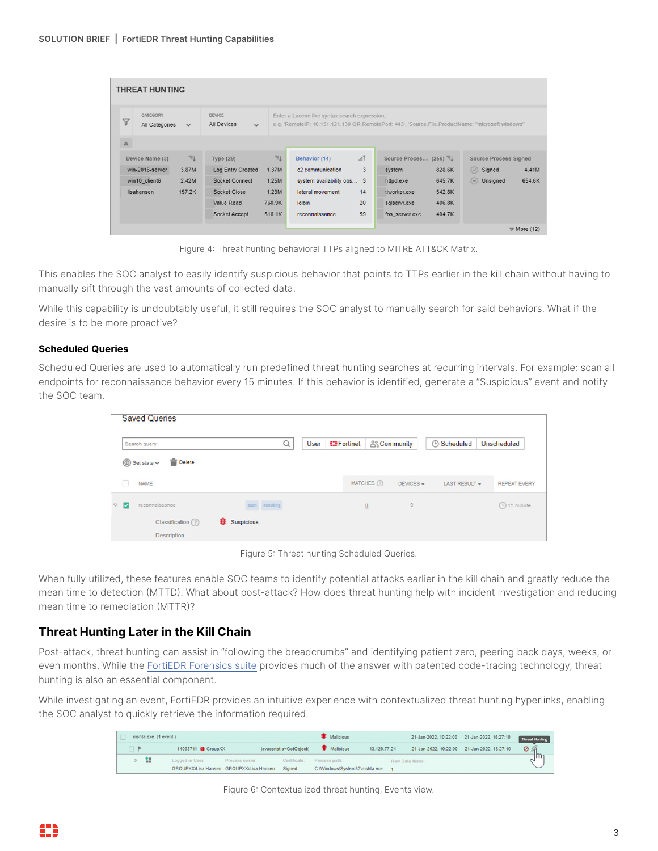| <b>THREAT HUNTING</b>                                |              |                                       |        |                                               |                     |                                                                                                    |                              |
|------------------------------------------------------|--------------|---------------------------------------|--------|-----------------------------------------------|---------------------|----------------------------------------------------------------------------------------------------|------------------------------|
| <b>CATEGORY</b><br>$\triangledown$<br>All Categories | $\checkmark$ | DEVICE<br>All Devices<br>$\checkmark$ |        | Enter a Lucene like syntax search expression, |                     | e.g. 'RemotelP: 10.151.121.130 OR RemotePort: 443', 'Source.File.ProductName: "microsoft windows"' |                              |
| $\Delta$                                             |              |                                       |        |                                               |                     |                                                                                                    |                              |
| Device Name (3)                                      | F            | <b>Type (29)</b>                      | F      | Behavior (14)                                 | $\equiv$ $\uparrow$ | Source Proces (256) 司                                                                              | <b>Source Process Signed</b> |
| win-2016-server                                      | 3.87M        | <b>Log Entry Created</b>              | 1.37M  | c2 communication                              | 3                   | 828.6K<br>system                                                                                   | Signed<br>4.41M              |
| win10 client6                                        | 2.42M        | Socket Connect                        | 1.25M  | system availability obs 3                     |                     | httpd.exe<br>645.7K                                                                                | $\Box$ Unsigned<br>654.6K    |
| lisahansen                                           | 157.2K       | Socket Close                          | 1.23M  | lateral movement                              | 14                  | 542.8K<br>tiworker.exe                                                                             |                              |
|                                                      |              | Value Read                            | 760.9K | <b>lolbin</b>                                 | 20                  | 406.8K<br>sqlservr.exe                                                                             |                              |
|                                                      |              | Socket Accept                         | 610.1K | reconnaissance                                | 59                  | 404.7K<br>fos server.exe                                                                           |                              |
|                                                      |              |                                       |        |                                               |                     |                                                                                                    | $\triangledown$ More (12)    |

Figure 4: Threat hunting behavioral TTPs aligned to MITRE ATT&CK Matrix.

This enables the SOC analyst to easily identify suspicious behavior that points to TTPs earlier in the kill chain without having to manually sift through the vast amounts of collected data.

While this capability is undoubtably useful, it still requires the SOC analyst to manually search for said behaviors. What if the desire is to be more proactive?

#### **Scheduled Queries**

Scheduled Queries are used to automatically run predefined threat hunting searches at recurring intervals. For example: scan all endpoints for reconnaissance behavior every 15 minutes. If this behavior is identified, generate a "Suspicious" event and notify the SOC team.

| Search query                                                                                                                                                                                                                                                                                                                                                                                                                                                                      | Q             | User | <b>EDF</b> ortinet |             | & Community | <b>6</b> Scheduled | Unscheduled         |
|-----------------------------------------------------------------------------------------------------------------------------------------------------------------------------------------------------------------------------------------------------------------------------------------------------------------------------------------------------------------------------------------------------------------------------------------------------------------------------------|---------------|------|--------------------|-------------|-------------|--------------------|---------------------|
| <b>Delete</b><br>$\circledR$ Set state $\vee$                                                                                                                                                                                                                                                                                                                                                                                                                                     |               |      |                    |             |             |                    |                     |
| n<br><b>NAME</b>                                                                                                                                                                                                                                                                                                                                                                                                                                                                  |               |      |                    | MATCHES (?) | DEVICES -   | LAST RESULT +      | <b>REPEAT EVERY</b> |
| $\begin{array}{c} \nabla \cdot \mathbf{V} \nabla \cdot \mathbf{V} \nabla \cdot \mathbf{V} \nabla \cdot \mathbf{V} \nabla \cdot \mathbf{V} \nabla \cdot \mathbf{V} \nabla \cdot \mathbf{V} \nabla \cdot \mathbf{V} \nabla \cdot \mathbf{V} \nabla \cdot \mathbf{V} \nabla \cdot \mathbf{V} \nabla \cdot \mathbf{V} \nabla \cdot \mathbf{V} \nabla \cdot \mathbf{V} \nabla \cdot \mathbf{V} \nabla \cdot \mathbf{V} \nabla \cdot \mathbf{V} \nabla \cdot \mathbf$<br>reconnaissance | scan scouting |      |                    | $\Omega$    | $\circ$     |                    | 4 15 minute         |

Figure 5: Threat hunting Scheduled Queries.

When fully utilized, these features enable SOC teams to identify potential attacks earlier in the kill chain and greatly reduce the mean time to detection (MTTD). What about post-attack? How does threat hunting help with incident investigation and reducing mean time to remediation (MTTR)?

# **Threat Hunting Later in the Kill Chain**

Post-attack, threat hunting can assist in "following the breadcrumbs" and identifying patient zero, peering back days, weeks, or even months. While the [FortiEDR Forensics suite](https://docs.fortinet.com/document/fortiedr/5.1.0/administration-guide/843095/introduction) provides much of the answer with patented code-tracing technology, threat hunting is also an essential component.

While investigating an event, FortiEDR provides an intuitive experience with contextualized threat hunting hyperlinks, enabling the SOC analyst to quickly retrieve the information required.

| mshta.exe (1 event) |                  |                                         |                         | <b>Malicious</b>              |              |                 | 21-Jan-2022, 10:22:00 21-Jan-2022, 16:27:10 | Threat Hunting |
|---------------------|------------------|-----------------------------------------|-------------------------|-------------------------------|--------------|-----------------|---------------------------------------------|----------------|
|                     | 14908711 GroupXX |                                         | iavascript:a=GetObiect( | <b>Malicious</b>              | 43.129.77.24 |                 | 21-Jan-2022, 10:22:00 21-Jan-2022, 16:27:10 | Ø S            |
| $\mathbf{r}$        | Logged-in User:  | Process owner:                          |                         | Certificate: Process path:    |              | Raw Data Items: |                                             | ⊺lm            |
|                     |                  | GROUPXX\Lisa.Hansen GROUPXX\Lisa.Hansen | Signed                  | C:\Windows\System32\mshta.exe |              |                 |                                             |                |

Figure 6: Contextualized threat hunting, Events view.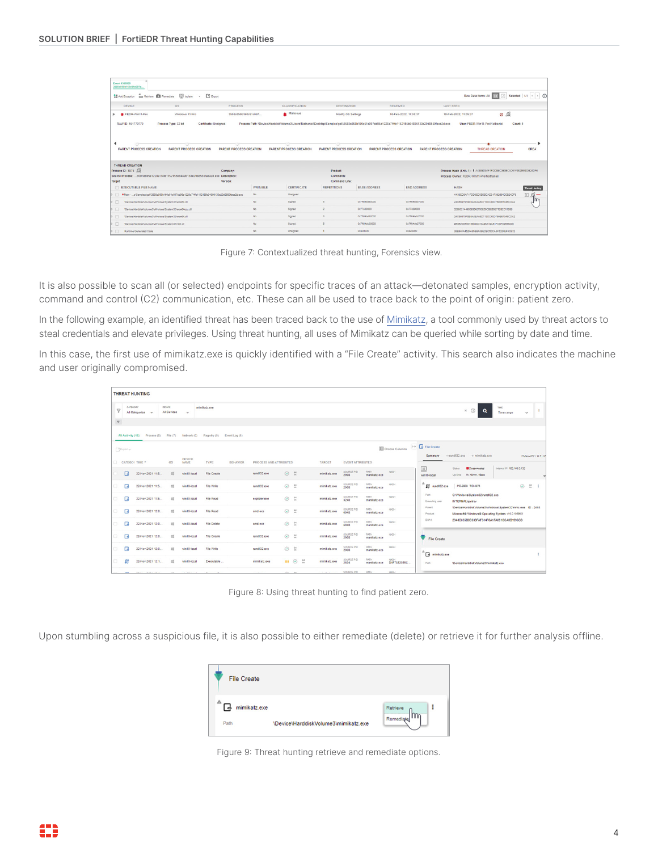| Event 1306856<br>3588c858b160c51c097e                                                     |                                |                                                                                                                                                |                                |                     |                                |                                                                  |                       |
|-------------------------------------------------------------------------------------------|--------------------------------|------------------------------------------------------------------------------------------------------------------------------------------------|--------------------------------|---------------------|--------------------------------|------------------------------------------------------------------|-----------------------|
| Add Exception and Retrieve <b>D</b> Remediate <b>Q Isolate</b> . C Export                 |                                |                                                                                                                                                |                                |                     |                                | Raw Data Items: All                                              | Selected   1/1        |
| <b>DEVICE</b><br><b>OS</b>                                                                | PROCESS                        | <b>CLASSIFICATION</b>                                                                                                                          | <b>DESTINATION</b>             |                     | <b>RECEIVED</b>                | <b>LAST SEEN</b>                                                 |                       |
| FEDR-Win11-Pro<br>Windows 11 Pro                                                          | 3588c858b160c51c097            | Malicious                                                                                                                                      | Modify OS Settings             |                     | 18-Feb-2022, 11:05:37          | $\circ$ $\circ$<br>18-Feb-2022, 11:05:37                         |                       |
| RAW ID: 451779779<br>Process Type: 32 bit                                                 | Certificate: Unsigned          | Process Path: \Device\HarddiskVolume3\Users\Nathaniel\Desktop\Samples\gc5\3588c858b160c51c097eb95a1228a7f4fe1152155b94896133e29d8550faea2d.exe |                                |                     |                                | User: FEDR-Win11-Pro/Nathaniel                                   | Count: 1              |
|                                                                                           |                                |                                                                                                                                                |                                |                     |                                |                                                                  |                       |
|                                                                                           |                                |                                                                                                                                                |                                |                     |                                |                                                                  |                       |
| <b>PARENT PROCESS CREATION</b><br><b>PARENT PROCESS CREATION</b>                          | <b>PARENT PROCESS CREATION</b> | <b>PARENT PROCESS CREATION</b>                                                                                                                 | <b>PARENT PROCESS CREATION</b> |                     | <b>PARENT PROCESS CREATION</b> | <b>PARENT PROCESS CREATION</b><br><b>THREAD CREATION</b>         | CREA                  |
| <b>THREAD CREATION</b>                                                                    |                                |                                                                                                                                                |                                |                     |                                |                                                                  |                       |
| Process ID: 3976 .Q                                                                       | Company:                       |                                                                                                                                                | <b>Product:</b>                |                     |                                | Process Hash (SHA-1):   A438ED9AF1FDD8EC0B0BCAD91F382854D0B24DF6 |                       |
| Source Process:  c097eb95a1228a7f4fe1152155b94896133e29d8550faea2d exe Description:       |                                |                                                                                                                                                | Comments:                      |                     |                                | Process Owner: FFDR-Win11-ProWatbaniel                           |                       |
| <b>Target</b>                                                                             | Version                        |                                                                                                                                                | Command Line:                  |                     |                                |                                                                  |                       |
| EXECUTABLE FILE NAME                                                                      | <b>WRITABLE</b>                | <b>CERTIFICATE</b>                                                                                                                             | <b>REPETITIONS</b>             | <b>BASE ADDRESS</b> | <b>END ADDRESS</b>             | <b>HASH</b>                                                      | <b>Threat Hunting</b> |
| Main - plSamples/gc5/3588c858b160c51c097eb95a1228a7f4fe1152155c94896133e29c8550faea2d.exe | No.                            | Unsigned                                                                                                                                       |                                |                     |                                | A438ED9AF1FDD8EC0B0BCAD91F382654D0B24DF6                         | $\Sigma$ .            |
| \Device\HarddiskVolume3\Windows\System32\wow64.dll<br>$\Box$                              | No                             | Signed                                                                                                                                         | $\lambda$                      | 0x7ffd4bd80000      | 0x7f54bdd7000                  | 24C66075F8E5A0EAA6D713DC40D769B61046CDA2                         |                       |
| $\Box$<br>\Device\HarddiskVolume3\Windows\System32\wow64cpu.dll                           | No                             | Signed                                                                                                                                         | $\overline{2}$                 | 0x77c30000          | 0x77c39000                     | 32880214490093642750E05CBE65E712B2D1138B                         |                       |
| $\Box$<br>\Device\HarddiskVolume3\Windows\System32\wow64.dll                              | No.                            | Signed                                                                                                                                         | $\overline{\mathbf{3}}$        | 0x7ffd4bd80000      | 0x7f64bdd7000                  | 24C66975F8E5A0EAA6D713DC40D769B61046CDA2                         |                       |
| $\Box$<br>\Device\HanddiskVolume3\Windows\System32\ntdll.dll                              | No.                            | Signed                                                                                                                                         | n.                             | 0x7ff64dc20000      | 0x7ffd4de27000                 | 9B5B20D550755599C72A95A19AB1FCDFA9555205                         |                       |
| 口<br>Runtime Generated Code                                                               | No.                            | Unsigned                                                                                                                                       |                                | 0x400000            | 0x428000                       | 38E94FA452FA85BBA39EDBC50CA8F602FEF4C972                         |                       |

Figure 7: Contextualized threat hunting, Forensics view.

It is also possible to scan all (or selected) endpoints for specific traces of an attack—detonated samples, encryption activity, command and control (C2) communication, etc. These can all be used to trace back to the point of origin: patient zero.

In the following example, an identified threat has been traced back to the use of [Mimikatz](https://attack.mitre.org/software/S0002/), a tool commonly used by threat actors to steal credentials and elevate privileges. Using threat hunting, all uses of Mimikatz can be queried while sorting by date and time.

In this case, the first use of mimikatz.exe is quickly identified with a "File Create" activity. This search also indicates the machine and user originally compromised.

|                        |                             | <b>THREAT HUNTING</b> |                                     |                              |                                                 |                 |                        |                            |         |               |                         |                             |                           |                                      |                                                                                                                     |                           |                                 |
|------------------------|-----------------------------|-----------------------|-------------------------------------|------------------------------|-------------------------------------------------|-----------------|------------------------|----------------------------|---------|---------------|-------------------------|-----------------------------|---------------------------|--------------------------------------|---------------------------------------------------------------------------------------------------------------------|---------------------------|---------------------------------|
| $\triangledown$        | CATEGORY                    | All Categories v      | <b>DEVICE</b><br><b>All Devices</b> | $\checkmark$                 | mimikatz.exe                                    |                 |                        |                            |         |               |                         |                             |                           |                                      | $*$ $\circledcirc$<br>$\alpha$                                                                                      | TIME.<br>Time range       | $\mathbf{H}$<br>$\checkmark$    |
| $\boldsymbol{\nabla}$  | All Activity (15)           | Process (8)           |                                     |                              | File (7) Network (0) Registry (0) Event Log (0) |                 |                        |                            |         |               |                         |                             |                           | 1+ <b>C</b> File Create              |                                                                                                                     |                           |                                 |
| [ <sup>3</sup> Exporty |                             | CATEGOI TIME ^        | <b>OS</b>                           | <b>DEVICE</b><br><b>NAME</b> | TYPE                                            | <b>BEHAVIOR</b> | PROCESS AND ATTRIBUTES |                            |         | <b>TARGET</b> | <b>EVENT ATTRIBUTES</b> |                             | <b>III</b> Choose Columns | Summary<br>$\frac{1}{2}$             | ++ rundit32 exe ++ mimikatz exe<br><b>Disconnected</b><br>Status                                                    | Internal IP 192.168.0.132 | 22-Nov-2021 11:51:0             |
|                        | в                           | 22-Nov-2021 11:5      | $\mathbb{R}^2$                      | win10-local                  | <b>File Create</b>                              |                 | rundl132 exe           | $\odot$ $\frac{u}{u}$      |         | mimikatz.exe  | SOURCE PID<br>2908      | PATH<br>mimikatz exe        | HASH                      | win 10-local                         | Up time 1h, 48min, 16sec                                                                                            |                           | ٠                               |
| a.                     | B                           | 22-Nov-2021 11:5      | $\mathbb{Z}$                        | win10-local                  | File Write                                      |                 | rundit32.exe           | $\odot$ $\frac{a}{n}$      |         | mimikatz.exe  | SOURCE PID<br>2908      | PATH<br>mimikatz exe        | HASH                      | $\mathbf{D}$ rundli32.exe            | PID-2908 TID-3876                                                                                                   | $\odot$                   | $\frac{64}{16}$<br>$\mathbf{r}$ |
| σ.                     | $\Box$                      | 22-Nov-2021 11:5      | $\mathbb{Z}$                        | win10-local                  | File Read                                       |                 | explorer.exe           | $\odot$ $\frac{\omega}{m}$ |         | mimikatz exe  | SOURCE PID<br>3240      | PATH<br>mimikatz.exe        | HASH                      | Path<br>Executing user               | C:\Windows\System32\rundll32.exe<br><b>INTERNALVoetrov</b>                                                          |                           |                                 |
| a.                     | в                           | 22-Nov-2021 12:0      | $\mathbb{Z}$                        | win10-local                  | File Read                                       |                 | cmd.exe                | $\odot$ $\frac{u}{u}$      |         | mimikatz exe  | SOURCE PID<br>6948      | PATH<br>mimikatz.exe        | HASH                      | Parent<br>Product                    | \Device\HarddiskVolume3\\/\indows\System32\mmc.exe ID - 2408<br>Microsoft® Windows® Operating System. v10.0.10586.0 |                           |                                 |
| o.                     | $\Box$                      | 22-Nov-2021 12:0      | $\mathbb{R}^n$                      | win10-local                  | <b>File Delete</b>                              |                 | cmd.exe                | $\odot$                    | $^{64}$ | mimikatz.exe  | SOURCE PID<br>6945      | PATH<br>mimikatz.exe        | HASH                      | 5HA1                                 | 2348C635B0D333FAF314F0A1FA091CCA0B1996CD                                                                            |                           |                                 |
| a.                     | $\Box$                      | 22-Nov-2021 12:0      | $\mathbb{Z}$                        | win10-local                  | <b>File Create</b>                              |                 | rundl132.exe           | $\odot$                    | $-64$   | mimikatz.exe  | SOURCE PID<br>2908      | <b>PATH</b><br>mimikatz exe | HASH                      | File Create                          |                                                                                                                     |                           |                                 |
| α.                     | B                           | 22-Nov-2021 12:0      | $\mathbb{R}^n$                      | win10-local                  | File Write                                      |                 | rundl132.exe           | $\odot$                    | $-64$   | mimikatz.exe  | SOURCE PID<br>2908      | <b>PATH</b><br>mimikatz.exe | HASH                      | $\overline{\mathbb{G}}$ mimikatz.exe |                                                                                                                     |                           | ÷                               |
| α.                     | $\mathfrak{m}$              | 22-Nov-2021 12:1      | $\mathbb{Z}$                        | win10-local                  | Executable                                      |                 | mimikatz.exe           | $\blacksquare$             | $-64$   | mimikatz.exe  | SOURCE PID<br>2604      | PATH<br>mimikatz exe        | HASH<br>D1F7832035C       | Path.                                | \Device\HarddiskVolume3\mimikatz.exe                                                                                |                           |                                 |
|                        | <b><i>Charles Carry</i></b> |                       |                                     |                              |                                                 |                 |                        |                            |         |               | <b>CONTRACT PUP</b>     | <b>CATAL</b>                | 114,014                   |                                      |                                                                                                                     |                           |                                 |

Figure 8: Using threat hunting to find patient zero.

Upon stumbling across a suspicious file, it is also possible to either remediate (delete) or retrieve it for further analysis offline.



Figure 9: Threat hunting retrieve and remediate options.